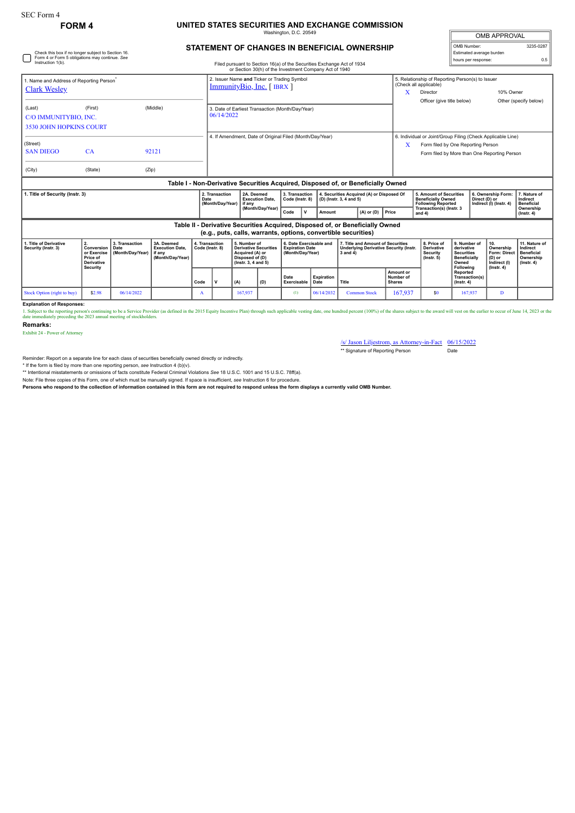## **FORM 4 UNITED STATES SECURITIES AND EXCHANGE COMMISSION** Washington, D.C. 20549

| OMB APPROVAL             |           |  |  |  |  |  |  |  |
|--------------------------|-----------|--|--|--|--|--|--|--|
| OMB Number:              | 3235-0287 |  |  |  |  |  |  |  |
| Estimated average burden |           |  |  |  |  |  |  |  |
| hours per response:      | ሰ 5       |  |  |  |  |  |  |  |

## **STATEMENT OF CHANGES IN BENEFICIAL OWNERSHIP**

| Check this box if no longer subject to Section 16.<br>Form 4 or Form 5 obligations may continue. See<br>Instruction 1(b).            |         |                                                                                                                  | Filed pursuant to Section 16(a) of the Securities Exchange Act of 1934 |                                                  |                                                                                                                                                 |             |                                                                      |                                                                       |                |       |                                                                                    | Estimated average burden<br>hours per response:                                   |  |                                                                                     |                                                                                         |                                                                                 |
|--------------------------------------------------------------------------------------------------------------------------------------|---------|------------------------------------------------------------------------------------------------------------------|------------------------------------------------------------------------|--------------------------------------------------|-------------------------------------------------------------------------------------------------------------------------------------------------|-------------|----------------------------------------------------------------------|-----------------------------------------------------------------------|----------------|-------|------------------------------------------------------------------------------------|-----------------------------------------------------------------------------------|--|-------------------------------------------------------------------------------------|-----------------------------------------------------------------------------------------|---------------------------------------------------------------------------------|
|                                                                                                                                      |         |                                                                                                                  |                                                                        |                                                  | or Section 30(h) of the Investment Company Act of 1940<br>2. Issuer Name and Ticker or Trading Symbol                                           |             |                                                                      |                                                                       |                |       |                                                                                    | 5. Relationship of Reporting Person(s) to Issuer                                  |  |                                                                                     |                                                                                         |                                                                                 |
| 1. Name and Address of Reporting Person <sup>®</sup><br><b>Clark Wesley</b>                                                          |         |                                                                                                                  |                                                                        |                                                  | $ImmunityBio, Inc.$ [ IBRX ]                                                                                                                    |             |                                                                      |                                                                       |                |       |                                                                                    | (Check all applicable)<br>Director<br>Officer (give title below)                  |  |                                                                                     | 10% Owner                                                                               |                                                                                 |
| (Last)<br>C/O IMMUNITYBIO, INC.<br><b>3530 JOHN HOPKINS COURT</b>                                                                    | (First) |                                                                                                                  | 3. Date of Earliest Transaction (Month/Day/Year)<br>06/14/2022         |                                                  |                                                                                                                                                 |             |                                                                      |                                                                       |                |       |                                                                                    |                                                                                   |  | Other (specify below)                                                               |                                                                                         |                                                                                 |
| (Street)                                                                                                                             |         |                                                                                                                  |                                                                        |                                                  | 4. If Amendment, Date of Original Filed (Month/Day/Year)                                                                                        |             |                                                                      |                                                                       |                |       |                                                                                    | 6. Individual or Joint/Group Filing (Check Applicable Line)                       |  |                                                                                     |                                                                                         |                                                                                 |
| <b>SAN DIEGO</b>                                                                                                                     | CA      |                                                                                                                  | 92121                                                                  |                                                  | Form filed by One Reporting Person<br>X<br>Form filed by More than One Reporting Person                                                         |             |                                                                      |                                                                       |                |       |                                                                                    |                                                                                   |  |                                                                                     |                                                                                         |                                                                                 |
| (City)                                                                                                                               | (State) |                                                                                                                  | (Zip)                                                                  |                                                  |                                                                                                                                                 |             |                                                                      |                                                                       |                |       |                                                                                    |                                                                                   |  |                                                                                     |                                                                                         |                                                                                 |
|                                                                                                                                      |         |                                                                                                                  |                                                                        |                                                  | Table I - Non-Derivative Securities Acquired, Disposed of, or Beneficially Owned                                                                |             |                                                                      |                                                                       |                |       |                                                                                    |                                                                                   |  |                                                                                     |                                                                                         |                                                                                 |
| 1. Title of Security (Instr. 3)                                                                                                      |         |                                                                                                                  | 2. Transaction<br>Date<br>(Month/Day/Year)                             | 2A. Deemed<br><b>Execution Date.</b><br>l if anv | 3. Transaction<br>Code (Instr. 8)                                                                                                               |             | 4. Securities Acquired (A) or Disposed Of<br>(D) (Instr. 3, 4 and 5) |                                                                       |                |       |                                                                                    | 5. Amount of Securities<br><b>Beneficially Owned</b><br><b>Following Reported</b> |  | 6. Ownership Form:<br>Direct (D) or<br>Indirect (I) (Instr. 4)                      | 7. Nature of<br>Indirect<br><b>Beneficial</b>                                           |                                                                                 |
|                                                                                                                                      |         |                                                                                                                  |                                                                        | (Month/Day/Year)                                 | Code                                                                                                                                            | $\mathbf v$ | Amount                                                               |                                                                       | $(A)$ or $(D)$ | Price | Transaction(s) (Instr. 3<br>and $4$ )                                              |                                                                                   |  |                                                                                     | Ownership<br>$($ lnstr. 4 $)$                                                           |                                                                                 |
|                                                                                                                                      |         |                                                                                                                  |                                                                        |                                                  | Table II - Derivative Securities Acquired, Disposed of, or Beneficially Owned<br>(e.g., puts, calls, warrants, options, convertible securities) |             |                                                                      |                                                                       |                |       |                                                                                    |                                                                                   |  |                                                                                     |                                                                                         |                                                                                 |
| 2.<br>1. Title of Derivative<br>Conversion<br>Security (Instr. 3)<br>or Exercise<br>Price of<br><b>Derivative</b><br><b>Security</b> |         | 3. Transaction<br>3A. Deemed<br><b>Execution Date.</b><br>Date<br>(Month/Day/Year)<br>if any<br>(Month/Day/Year) |                                                                        | 4. Transaction<br>Code (Instr. 8)                | 5. Number of<br><b>Derivative Securities</b><br>Acquired (A) or<br>Disposed of (D)<br>(Instr. 3, 4 and 5)                                       |             |                                                                      | 6. Date Exercisable and<br><b>Expiration Date</b><br>(Month/Day/Year) |                |       | 7. Title and Amount of Securities<br><b>Underlying Derivative Security (Instr.</b> | 8. Price of<br><b>Derivative</b><br><b>Security</b><br>$($ lnstr. 5 $)$           |  | 9. Number of<br>derivative<br><b>Securities</b><br><b>Beneficially</b><br>Following | 10.<br>Ownership<br><b>Form: Direct</b><br>$(D)$ or<br>Indirect (I)<br>$($ lnstr. 4 $)$ | 11. Nature of<br>Indirect<br><b>Beneficial</b><br>Ownership<br>$($ lnstr. 4 $)$ |
|                                                                                                                                      |         |                                                                                                                  |                                                                        |                                                  |                                                                                                                                                 |             |                                                                      |                                                                       |                |       |                                                                                    |                                                                                   |  |                                                                                     |                                                                                         |                                                                                 |

**Following Reported Transaction(s) (Instr. 4) Code V (A) (D) Date Exercisable Expiration Date Title Amount or Number of Shares** Stock Option (right to buy) | \$2.98 | 06/14/2022 | A | 167,937 | (1) | 06/14/2032 Common Stock | 167,937 | \$0 | 167,937 | D

**Explanation of Responses:**

1. Subject to the reporting person's continuing to be a Service Provider (as defined in the 2015 Equity Incentive Plan) through such applicable vesting date, one hundred percent (100%) of the shares subject to the award wi

**Remarks:**

Exhibit 24 - Power of Attorney

/s/ Jason Liljestrom, as Attorney-in-Fact 06/15/2022 \*\* Signature of Reporting Person Date

Reminder: Report on a separate line for each class of securities beneficially owned directly or indirectly.

\* If the form is filed by more than one reporting person, see Instruction 4 (b)(v).<br>\*\* Intentional misstatements or omissions of facts constitute Federal Criminal Violations See 18 U.S.C. 1001 and 15 U.S.C. 78ff(a).

Note: File three copies of this Form, one of which must be manually signed. If space is insufficient, *see* Instruction 6 for procedure.

**Persons who respond to the collection of information contained in this form are not required to respond unless the form displays a currently valid OMB Number.**